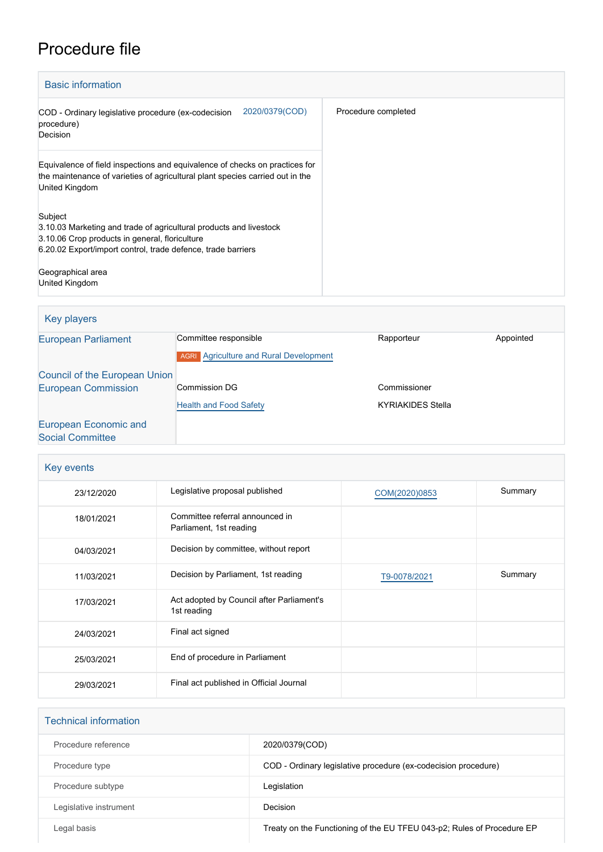## Procedure file

| <b>Basic information</b>                                                                                                                                                                                                               |                     |  |
|----------------------------------------------------------------------------------------------------------------------------------------------------------------------------------------------------------------------------------------|---------------------|--|
| 2020/0379(COD)<br>COD - Ordinary legislative procedure (ex-codecision<br>procedure)<br>Decision                                                                                                                                        | Procedure completed |  |
| Equivalence of field inspections and equivalence of checks on practices for<br>the maintenance of varieties of agricultural plant species carried out in the<br>United Kingdom                                                         |                     |  |
| Subject<br>3.10.03 Marketing and trade of agricultural products and livestock<br>3.10.06 Crop products in general, floriculture<br>6.20.02 Export/import control, trade defence, trade barriers<br>Geographical area<br>United Kingdom |                     |  |

| Key players                   |                                               |                          |           |
|-------------------------------|-----------------------------------------------|--------------------------|-----------|
| <b>European Parliament</b>    | Committee responsible                         | Rapporteur               | Appointed |
|                               | <b>AGRI</b> Agriculture and Rural Development |                          |           |
| Council of the European Union |                                               |                          |           |
| <b>European Commission</b>    | Commission DG                                 | Commissioner             |           |
|                               | <b>Health and Food Safety</b>                 | <b>KYRIAKIDES Stella</b> |           |
| European Economic and         |                                               |                          |           |
| <b>Social Committee</b>       |                                               |                          |           |

| Key events |                                                            |               |         |
|------------|------------------------------------------------------------|---------------|---------|
| 23/12/2020 | Legislative proposal published                             | COM(2020)0853 | Summary |
| 18/01/2021 | Committee referral announced in<br>Parliament, 1st reading |               |         |
| 04/03/2021 | Decision by committee, without report                      |               |         |
| 11/03/2021 | Decision by Parliament, 1st reading                        | T9-0078/2021  | Summary |
| 17/03/2021 | Act adopted by Council after Parliament's<br>1st reading   |               |         |
| 24/03/2021 | Final act signed                                           |               |         |
| 25/03/2021 | End of procedure in Parliament                             |               |         |
| 29/03/2021 | Final act published in Official Journal                    |               |         |

| <b>Technical information</b> |                                                                        |
|------------------------------|------------------------------------------------------------------------|
| Procedure reference          | 2020/0379(COD)                                                         |
| Procedure type               | COD - Ordinary legislative procedure (ex-codecision procedure)         |
| Procedure subtype            | Legislation                                                            |
| Legislative instrument       | Decision                                                               |
| Legal basis                  | Treaty on the Functioning of the EU TFEU 043-p2; Rules of Procedure EP |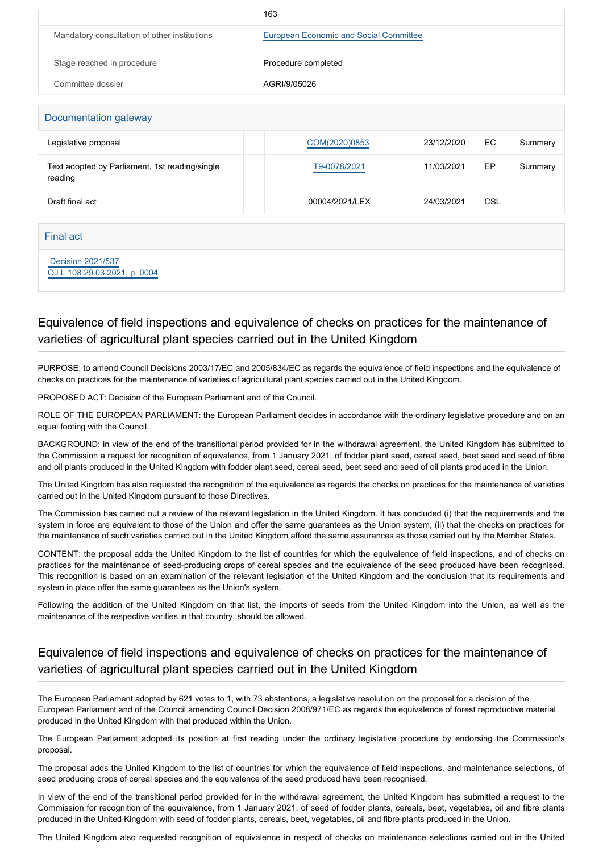|                                              | 163                                    |
|----------------------------------------------|----------------------------------------|
| Mandatory consultation of other institutions | European Economic and Social Committee |
| Stage reached in procedure                   | Procedure completed                    |
| Committee dossier                            | AGRI/9/05026                           |
|                                              |                                        |

| Documentation gateway                                     |                |            |     |         |
|-----------------------------------------------------------|----------------|------------|-----|---------|
| Legislative proposal                                      | COM(2020)0853  | 23/12/2020 | EC. | Summary |
| Text adopted by Parliament, 1st reading/single<br>reading | T9-0078/2021   | 11/03/2021 | EP  | Summary |
| Draft final act                                           | 00004/2021/LEX | 24/03/2021 | CSL |         |
|                                                           |                |            |     |         |

Final act

 [Decision 2021/537](https://eur-lex.europa.eu/smartapi/cgi/sga_doc?smartapi!celexplus!prod!CELEXnumdoc&lg=EN&numdoc=32021D0537) [OJ L 108 29.03.2021, p. 0004](https://eur-lex.europa.eu/legal-content/EN/TXT/?uri=OJ:L:2021:108:TOC)

## Equivalence of field inspections and equivalence of checks on practices for the maintenance of varieties of agricultural plant species carried out in the United Kingdom

PURPOSE: to amend Council Decisions 2003/17/EC and 2005/834/EC as regards the equivalence of field inspections and the equivalence of checks on practices for the maintenance of varieties of agricultural plant species carried out in the United Kingdom.

PROPOSED ACT: Decision of the European Parliament and of the Council.

ROLE OF THE EUROPEAN PARLIAMENT: the European Parliament decides in accordance with the ordinary legislative procedure and on an equal footing with the Council.

BACKGROUND: in view of the end of the transitional period provided for in the withdrawal agreement, the United Kingdom has submitted to the Commission a request for recognition of equivalence, from 1 January 2021, of fodder plant seed, cereal seed, beet seed and seed of fibre and oil plants produced in the United Kingdom with fodder plant seed, cereal seed, beet seed and seed of oil plants produced in the Union.

The United Kingdom has also requested the recognition of the equivalence as regards the checks on practices for the maintenance of varieties carried out in the United Kingdom pursuant to those Directives.

The Commission has carried out a review of the relevant legislation in the United Kingdom. It has concluded (i) that the requirements and the system in force are equivalent to those of the Union and offer the same guarantees as the Union system; (ii) that the checks on practices for the maintenance of such varieties carried out in the United Kingdom afford the same assurances as those carried out by the Member States.

CONTENT: the proposal adds the United Kingdom to the list of countries for which the equivalence of field inspections, and of checks on practices for the maintenance of seed-producing crops of cereal species and the equivalence of the seed produced have been recognised. This recognition is based on an examination of the relevant legislation of the United Kingdom and the conclusion that its requirements and system in place offer the same guarantees as the Union's system.

Following the addition of the United Kingdom on that list, the imports of seeds from the United Kingdom into the Union, as well as the maintenance of the respective varities in that country, should be allowed.

## Equivalence of field inspections and equivalence of checks on practices for the maintenance of varieties of agricultural plant species carried out in the United Kingdom

The European Parliament adopted by 621 votes to 1, with 73 abstentions, a legislative resolution on the proposal for a decision of the European Parliament and of the Council amending Council Decision 2008/971/EC as regards the equivalence of forest reproductive material produced in the United Kingdom with that produced within the Union.

The European Parliament adopted its position at first reading under the ordinary legislative procedure by endorsing the Commission's proposal.

The proposal adds the United Kingdom to the list of countries for which the equivalence of field inspections, and maintenance selections, of seed producing crops of cereal species and the equivalence of the seed produced have been recognised.

In view of the end of the transitional period provided for in the withdrawal agreement, the United Kingdom has submitted a request to the Commission for recognition of the equivalence, from 1 January 2021, of seed of fodder plants, cereals, beet, vegetables, oil and fibre plants produced in the United Kingdom with seed of fodder plants, cereals, beet, vegetables, oil and fibre plants produced in the Union.

The United Kingdom also requested recognition of equivalence in respect of checks on maintenance selections carried out in the United